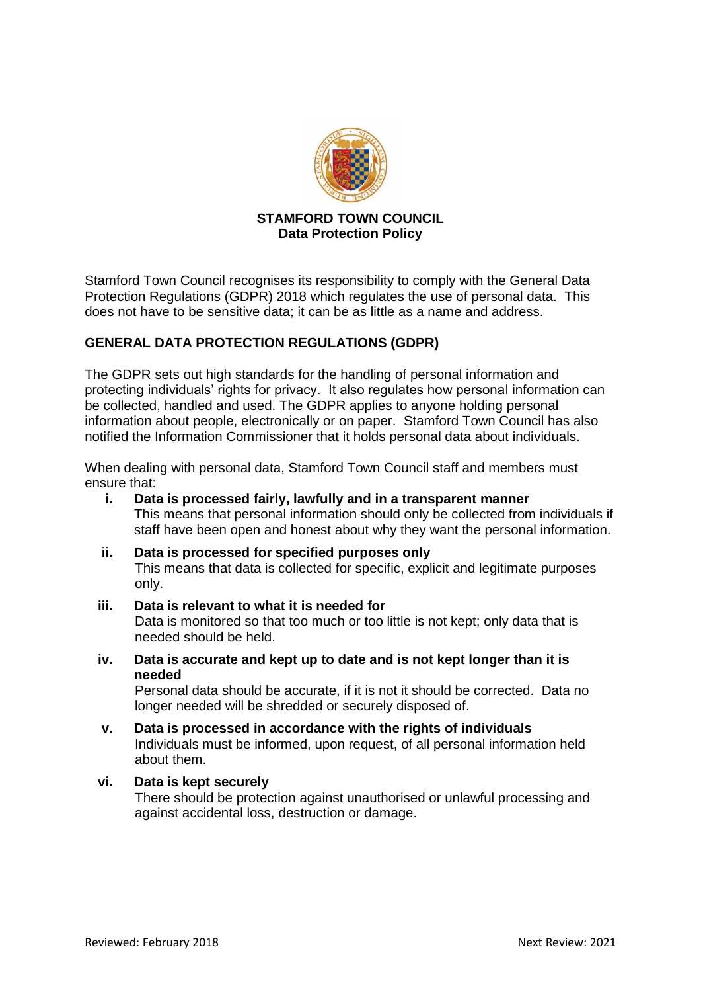

### **STAMFORD TOWN COUNCIL Data Protection Policy**

Stamford Town Council recognises its responsibility to comply with the General Data Protection Regulations (GDPR) 2018 which regulates the use of personal data. This does not have to be sensitive data; it can be as little as a name and address.

# **GENERAL DATA PROTECTION REGULATIONS (GDPR)**

The GDPR sets out high standards for the handling of personal information and protecting individuals' rights for privacy. It also regulates how personal information can be collected, handled and used. The GDPR applies to anyone holding personal information about people, electronically or on paper. Stamford Town Council has also notified the Information Commissioner that it holds personal data about individuals.

When dealing with personal data, Stamford Town Council staff and members must ensure that:

- **i. Data is processed fairly, lawfully and in a transparent manner** This means that personal information should only be collected from individuals if staff have been open and honest about why they want the personal information.
- **ii. Data is processed for specified purposes only** This means that data is collected for specific, explicit and legitimate purposes only.

#### **iii. Data is relevant to what it is needed for**

Data is monitored so that too much or too little is not kept; only data that is needed should be held.

**iv. Data is accurate and kept up to date and is not kept longer than it is needed**

Personal data should be accurate, if it is not it should be corrected. Data no longer needed will be shredded or securely disposed of.

- **v. Data is processed in accordance with the rights of individuals** Individuals must be informed, upon request, of all personal information held about them.
- **vi. Data is kept securely** There should be protection against unauthorised or unlawful processing and against accidental loss, destruction or damage.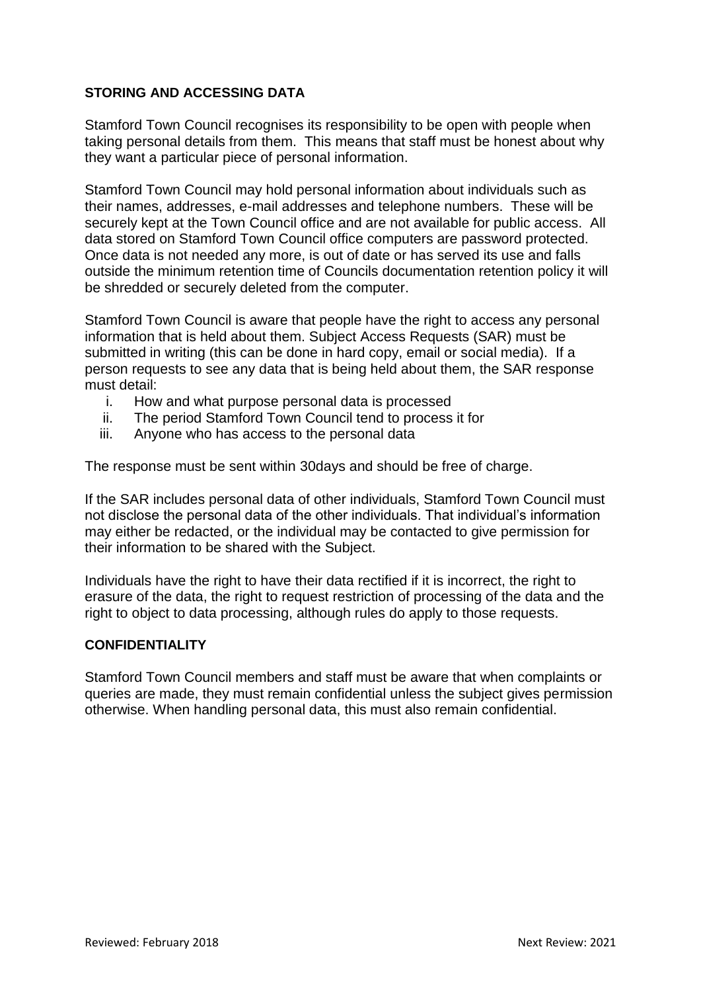# **STORING AND ACCESSING DATA**

Stamford Town Council recognises its responsibility to be open with people when taking personal details from them. This means that staff must be honest about why they want a particular piece of personal information.

Stamford Town Council may hold personal information about individuals such as their names, addresses, e-mail addresses and telephone numbers. These will be securely kept at the Town Council office and are not available for public access. All data stored on Stamford Town Council office computers are password protected. Once data is not needed any more, is out of date or has served its use and falls outside the minimum retention time of Councils documentation retention policy it will be shredded or securely deleted from the computer.

Stamford Town Council is aware that people have the right to access any personal information that is held about them. Subject Access Requests (SAR) must be submitted in writing (this can be done in hard copy, email or social media). If a person requests to see any data that is being held about them, the SAR response must detail:

- i. How and what purpose personal data is processed
- ii. The period Stamford Town Council tend to process it for
- iii. Anyone who has access to the personal data

The response must be sent within 30days and should be free of charge.

If the SAR includes personal data of other individuals, Stamford Town Council must not disclose the personal data of the other individuals. That individual's information may either be redacted, or the individual may be contacted to give permission for their information to be shared with the Subject.

Individuals have the right to have their data rectified if it is incorrect, the right to erasure of the data, the right to request restriction of processing of the data and the right to object to data processing, although rules do apply to those requests.

#### **CONFIDENTIALITY**

Stamford Town Council members and staff must be aware that when complaints or queries are made, they must remain confidential unless the subject gives permission otherwise. When handling personal data, this must also remain confidential.